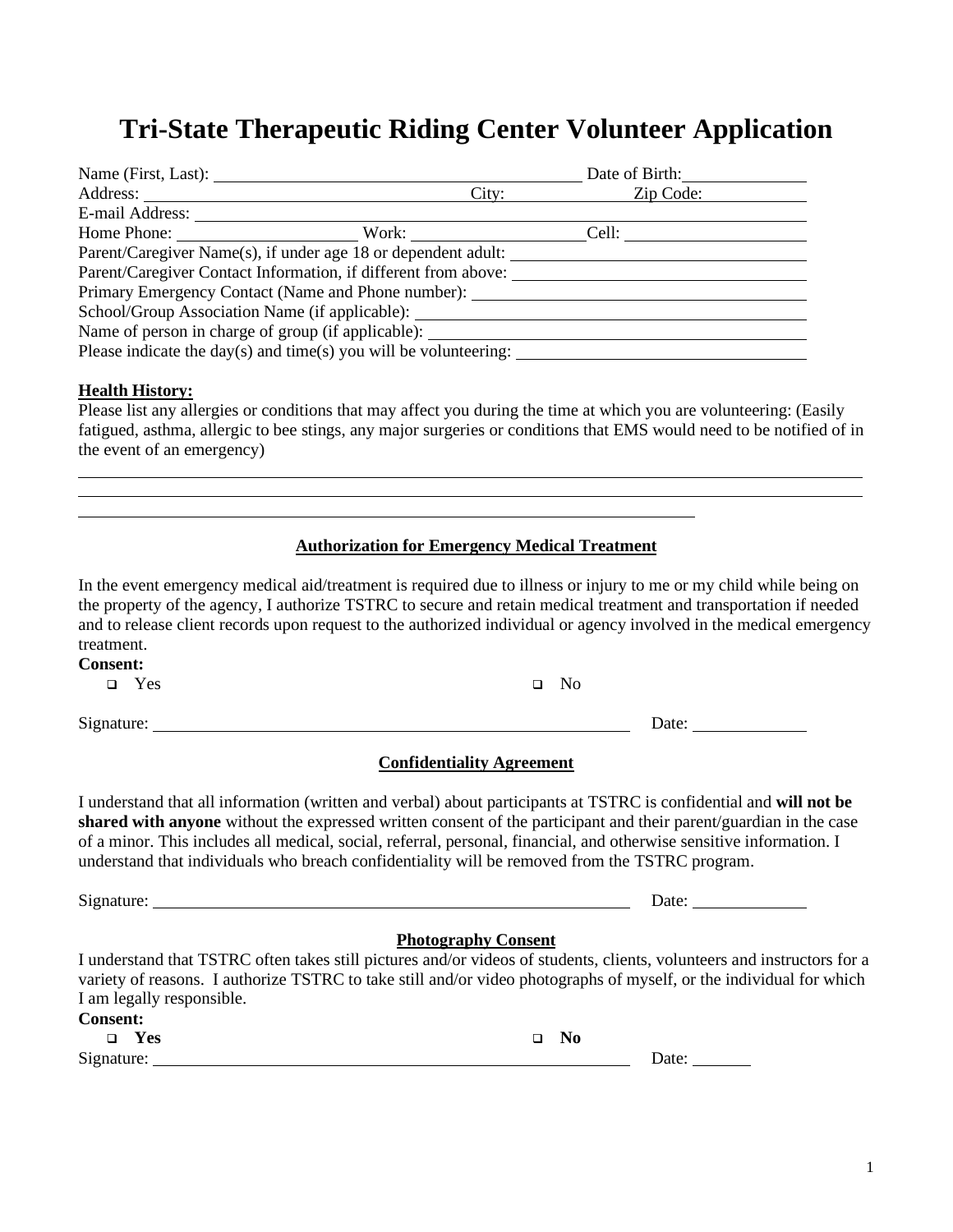# **Tri-State Therapeutic Riding Center Volunteer Application**

| Name (First, Last):                                                               |  |           |  |  |  |
|-----------------------------------------------------------------------------------|--|-----------|--|--|--|
|                                                                                   |  | Zip Code: |  |  |  |
| E-mail Address:                                                                   |  |           |  |  |  |
| Home Phone: Nork: Cell:                                                           |  |           |  |  |  |
| Parent/Caregiver Name(s), if under age 18 or dependent adult:                     |  |           |  |  |  |
| Parent/Caregiver Contact Information, if different from above:                    |  |           |  |  |  |
| Primary Emergency Contact (Name and Phone number):                                |  |           |  |  |  |
| School/Group Association Name (if applicable):                                    |  |           |  |  |  |
| Name of person in charge of group (if applicable): ______________________________ |  |           |  |  |  |
| Please indicate the day(s) and time(s) you will be volunteering:                  |  |           |  |  |  |

#### **Health History:**

Please list any allergies or conditions that may affect you during the time at which you are volunteering: (Easily fatigued, asthma, allergic to bee stings, any major surgeries or conditions that EMS would need to be notified of in the event of an emergency)

l

#### **Authorization for Emergency Medical Treatment**

In the event emergency medical aid/treatment is required due to illness or injury to me or my child while being on the property of the agency, I authorize TSTRC to secure and retain medical treatment and transportation if needed and to release client records upon request to the authorized individual or agency involved in the medical emergency treatment. **Consent:**  ❑ Yes ❑ No

Signature: Date: Date:

## **Confidentiality Agreement**

I understand that all information (written and verbal) about participants at TSTRC is confidential and **will not be shared with anyone** without the expressed written consent of the participant and their parent/guardian in the case of a minor. This includes all medical, social, referral, personal, financial, and otherwise sensitive information. I understand that individuals who breach confidentiality will be removed from the TSTRC program.

| Signature:                                                                                                                                                                                                                                                                  | Date:                      |  |
|-----------------------------------------------------------------------------------------------------------------------------------------------------------------------------------------------------------------------------------------------------------------------------|----------------------------|--|
|                                                                                                                                                                                                                                                                             | <b>Photography Consent</b> |  |
| I understand that TSTRC often takes still pictures and/or videos of students, clients, volunteers and instructors for a<br>variety of reasons. I authorize TSTRC to take still and/or video photographs of myself, or the individual for which<br>I am legally responsible. |                            |  |
| <b>Consent:</b><br>Yes                                                                                                                                                                                                                                                      | No.<br>□                   |  |
| Signature:                                                                                                                                                                                                                                                                  | Date:                      |  |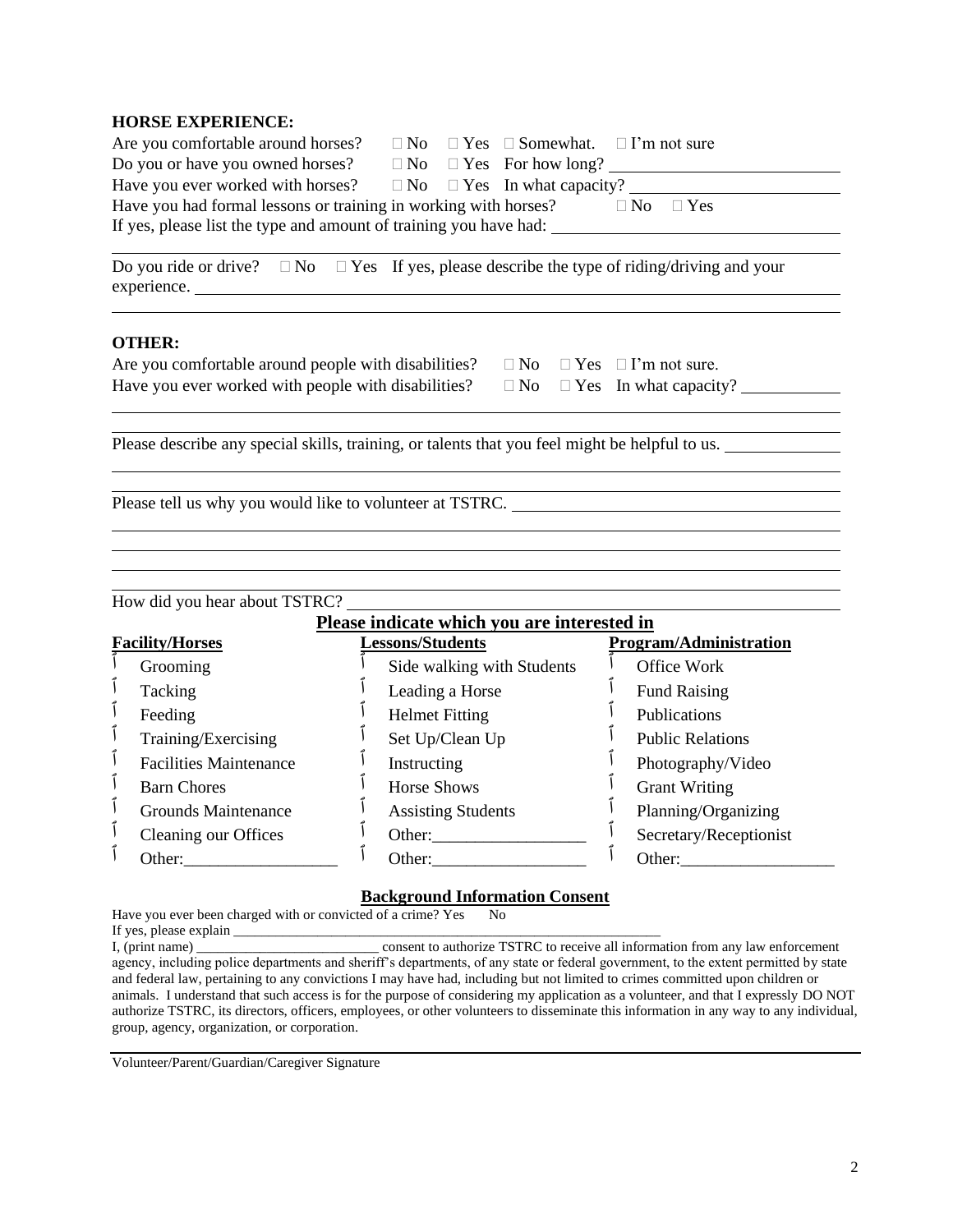#### **HORSE EXPERIENCE:**

| Have you had formal lessons or training in working with horses?<br>$\Box$ No $\Box$ Yes |  |  |                                                                                                                                                                                                                                                                         |  |
|-----------------------------------------------------------------------------------------|--|--|-------------------------------------------------------------------------------------------------------------------------------------------------------------------------------------------------------------------------------------------------------------------------|--|
| If yes, please list the type and amount of training you have had:                       |  |  |                                                                                                                                                                                                                                                                         |  |
|                                                                                         |  |  | Are you comfortable around horses? $\square$ No $\square$ Yes $\square$ Somewhat. $\square$ I'm not sure<br>Do you or have you owned horses? $\square$ No $\square$ Yes For how long?<br>Have you ever worked with horses? $\square$ No $\square$ Yes In what capacity? |  |

Do you ride or drive?  $\Box$  No  $\Box$  Yes If yes, please describe the type of riding/driving and your experience.

#### **OTHER:**

| Are you comfortable around people with disabilities? $\square$ No $\square$ Yes $\square$ I'm not sure. |  |  |
|---------------------------------------------------------------------------------------------------------|--|--|
| Have you ever worked with people with disabilities? $\square$ No $\square$ Yes In what capacity?        |  |  |

Please describe any special skills, training, or talents that you feel might be helpful to us.

Please tell us why you would like to volunteer at TSTRC.

How did you hear about TSTRC?

### **Please indicate which you are interested in**

| <b>Facility/Horses</b> |                               | Lessons/Students           | 1 ICHDC IIIGICHTC ##ILCII # 0G HI C IIITCI CDTCG III<br><b>Program/Administration</b> |  |
|------------------------|-------------------------------|----------------------------|---------------------------------------------------------------------------------------|--|
|                        | Grooming                      | Side walking with Students | Office Work                                                                           |  |
|                        | Tacking                       | Leading a Horse            | <b>Fund Raising</b>                                                                   |  |
|                        | Feeding                       | <b>Helmet Fitting</b>      | Publications                                                                          |  |
|                        | Training/Exercising           | Set Up/Clean Up            | <b>Public Relations</b>                                                               |  |
|                        | <b>Facilities Maintenance</b> | Instructing                | Photography/Video                                                                     |  |
|                        | <b>Barn Chores</b>            | <b>Horse Shows</b>         | <b>Grant Writing</b>                                                                  |  |
|                        | <b>Grounds Maintenance</b>    | <b>Assisting Students</b>  | Planning/Organizing                                                                   |  |
|                        | Cleaning our Offices          | Other:                     | Secretary/Receptionist                                                                |  |
|                        | Other:                        | Other:                     | Other:                                                                                |  |

#### **Background Information Consent**

Have you ever been charged with or convicted of a crime? Yes No

If yes, please explain \_\_\_\_\_\_\_\_\_\_\_\_\_\_\_\_\_\_\_\_\_\_\_\_\_\_\_\_\_\_\_\_\_\_\_\_\_\_\_\_\_\_\_\_\_\_\_\_\_\_\_\_\_\_\_\_\_\_\_\_\_

I, (print name) \_\_\_\_\_\_\_\_\_\_\_\_\_\_\_\_\_\_\_\_\_\_\_\_\_\_ consent to authorize TSTRC to receive all information from any law enforcement agency, including police departments and sheriff's departments, of any state or federal government, to the extent permitted by state and federal law, pertaining to any convictions I may have had, including but not limited to crimes committed upon children or animals. I understand that such access is for the purpose of considering my application as a volunteer, and that I expressly DO NOT authorize TSTRC, its directors, officers, employees, or other volunteers to disseminate this information in any way to any individual, group, agency, organization, or corporation.

Volunteer/Parent/Guardian/Caregiver Signature